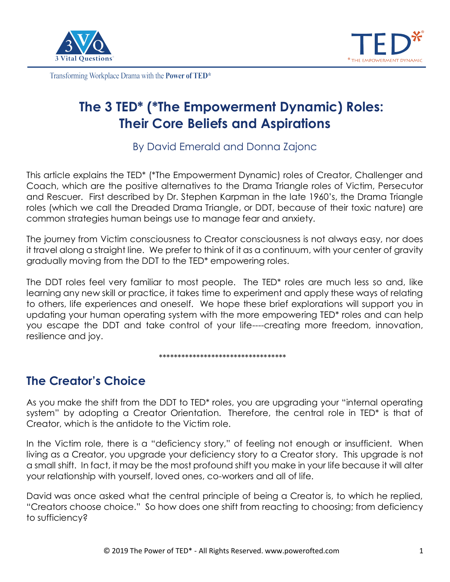



# **The 3 TED\* (\*The Empowerment Dynamic) Roles: Their Core Beliefs and Aspirations**

By David Emerald and Donna Zajonc

This article explains the TED\* (\*The Empowerment Dynamic) roles of Creator, Challenger and Coach, which are the positive alternatives to the Drama Triangle roles of Victim, Persecutor and Rescuer. First described by Dr. Stephen Karpman in the late 1960's, the Drama Triangle roles (which we call the Dreaded Drama Triangle, or DDT, because of their toxic nature) are common strategies human beings use to manage fear and anxiety.

The journey from Victim consciousness to Creator consciousness is not always easy, nor does it travel along a straight line. We prefer to think of it as a continuum, with your center of gravity gradually moving from the DDT to the TED\* empowering roles.

The DDT roles feel very familiar to most people. The TED\* roles are much less so and, like learning any new skill or practice, it takes time to experiment and apply these ways of relating to others, life experiences and oneself. We hope these brief explorations will support you in updating your human operating system with the more empowering TED\* roles and can help you escape the DDT and take control of your life----creating more freedom, innovation, resilience and joy.

\*\*\*\*\*\*\*\*\*\*\*\*\*\*\*\*\*\*\*\*\*\*\*\*\*\*\*\*\*\*\*\*\*\*

## **The Creator's Choice**

As you make the shift from the DDT to TED\* roles, you are upgrading your "internal operating system" by adopting a Creator Orientation. Therefore, the central role in TED\* is that of Creator, which is the antidote to the Victim role.

In the Victim role, there is a "deficiency story," of feeling not enough or insufficient. When living as a Creator, you upgrade your deficiency story to a Creator story. This upgrade is not a small shift. In fact, it may be the most profound shift you make in your life because it will alter your relationship with yourself, loved ones, co-workers and all of life.

David was once asked what the central principle of being a Creator is, to which he replied, "Creators choose choice." So how does one shift from reacting to choosing; from deficiency to sufficiency?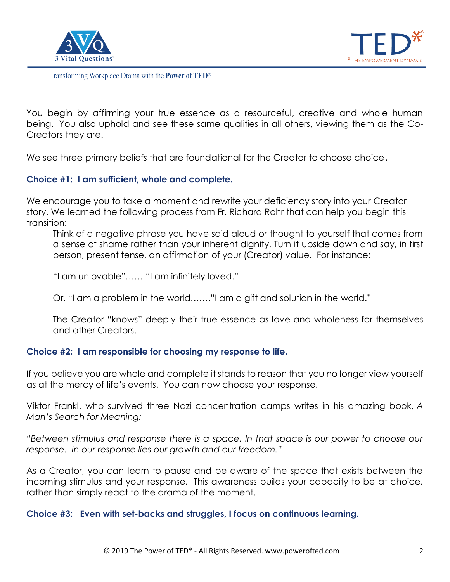



You begin by affirming your true essence as a resourceful, creative and whole human being. You also uphold and see these same qualities in all others, viewing them as the Co-Creators they are.

We see three primary beliefs that are foundational for the Creator to choose choice.

## **Choice #1: I am sufficient, whole and complete.**

We encourage you to take a moment and rewrite your deficiency story into your Creator story. We learned the following process from Fr. Richard Rohr that can help you begin this transition:

Think of a negative phrase you have said aloud or thought to yourself that comes from a sense of shame rather than your inherent dignity. Turn it upside down and say, in first person, present tense, an affirmation of your (Creator) value. For instance:

"I am unlovable"…… "I am infinitely loved."

Or, "I am a problem in the world……."I am a gift and solution in the world."

The Creator "knows" deeply their true essence as love and wholeness for themselves and other Creators.

## **Choice #2: I am responsible for choosing my response to life.**

If you believe you are whole and complete it stands to reason that you no longer view yourself as at the mercy of life's events. You can now choose your response.

Viktor Frankl, who survived three Nazi concentration camps writes in his amazing book, *A Man's Search for Meaning:*

*"Between stimulus and response there is a space. In that space is our power to choose our response. In our response lies our growth and our freedom."*

As a Creator, you can learn to pause and be aware of the space that exists between the incoming stimulus and your response. This awareness builds your capacity to be at choice, rather than simply react to the drama of the moment.

## **Choice #3: Even with set-backs and struggles, I focus on continuous learning.**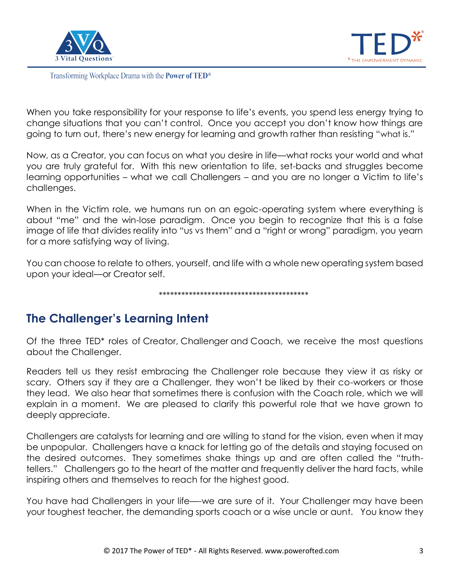



When you take responsibility for your response to life's events, you spend less energy trying to change situations that you can't control. Once you accept you don't know how things are going to turn out, there's new energy for learning and growth rather than resisting "what is."

Now, as a Creator, you can focus on what you desire in life—what rocks your world and what you are truly grateful for. With this new orientation to life, set-backs and struggles become learning opportunities – what we call Challengers – and you are no longer a Victim to life's challenges.

When in the Victim role, we humans run on an egoic-operating system where everything is about "me" and the win-lose paradigm. Once you begin to recognize that this is a false image of life that divides reality into "us vs them" and a "right or wrong" paradigm, you yearn for a more satisfying way of living.

You can choose to relate to others, yourself, and life with a whole new operating system based upon your ideal—or Creator self.

\*\*\*\*\*\*\*\*\*\*\*\*\*\*\*\*\*\*\*\*\*\*\*\*\*\*\*\*\*\*\*\*\*\*\*\*\*\*\*\*

## **The Challenger's Learning Intent**

Of the three TED\* roles of Creator, Challenger and Coach, we receive the most questions about the Challenger.

Readers tell us they resist embracing the Challenger role because they view it as risky or scary. Others say if they are a Challenger, they won't be liked by their co-workers or those they lead. We also hear that sometimes there is confusion with the Coach role, which we will explain in a moment. We are pleased to clarify this powerful role that we have grown to deeply appreciate.

Challengers are catalysts for learning and are willing to stand for the vision, even when it may be unpopular. Challengers have a knack for letting go of the details and staying focused on the desired outcomes. They sometimes shake things up and are often called the "truthtellers." Challengers go to the heart of the matter and frequently deliver the hard facts, while inspiring others and themselves to reach for the highest good.

You have had Challengers in your life—-we are sure of it. Your Challenger may have been your toughest teacher, the demanding sports coach or a wise uncle or aunt. You know they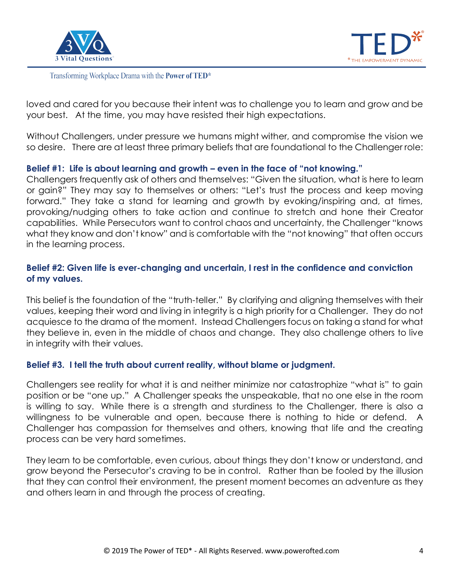



loved and cared for you because their intent was to challenge you to learn and grow and be your best. At the time, you may have resisted their high expectations.

Without Challengers, under pressure we humans might wither, and compromise the vision we so desire. There are at least three primary beliefs that are foundational to the Challenger role:

## **Belief #1: Life is about learning and growth – even in the face of "not knowing."**

Challengers frequently ask of others and themselves: "Given the situation, what is here to learn or gain?" They may say to themselves or others: "Let's trust the process and keep moving forward." They take a stand for learning and growth by evoking/inspiring and, at times, provoking/nudging others to take action and continue to stretch and hone their Creator capabilities. While Persecutors want to control chaos and uncertainty, the Challenger "knows what they know and don't know" and is comfortable with the "not knowing" that often occurs in the learning process.

## **Belief #2: Given life is ever-changing and uncertain, I rest in the confidence and conviction of my values.**

This belief is the foundation of the "truth-teller." By clarifying and aligning themselves with their values, keeping their word and living in integrity is a high priority for a Challenger. They do not acquiesce to the drama of the moment. Instead Challengers focus on taking a stand for what they believe in, even in the middle of chaos and change. They also challenge others to live in integrity with their values.

## **Belief #3. I tell the truth about current reality, without blame or judgment.**

Challengers see reality for what it is and neither minimize nor catastrophize "what is" to gain position or be "one up." A Challenger speaks the unspeakable, that no one else in the room is willing to say. While there is a strength and sturdiness to the Challenger, there is also a willingness to be vulnerable and open, because there is nothing to hide or defend. A Challenger has compassion for themselves and others, knowing that life and the creating process can be very hard sometimes.

They learn to be comfortable, even curious, about things they don't know or understand, and grow beyond the Persecutor's craving to be in control. Rather than be fooled by the illusion that they can control their environment, the present moment becomes an adventure as they and others learn in and through the process of creating.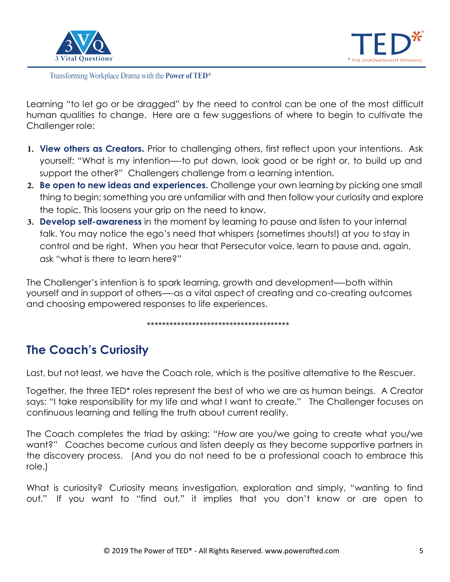



Learning "to let go or be dragged" by the need to control can be one of the most difficult human qualities to change. Here are a few suggestions of where to begin to cultivate the Challenger role:

- **1. View others as Creators.** Prior to challenging others, first reflect upon your intentions. Ask yourself: "What is my intention—-to put down, look good or be right or, to build up and support the other?" Challengers challenge from a learning intention.
- **2. Be open to new ideas and experiences.** Challenge your own learning by picking one small thing to begin; something you are unfamiliar with and then follow your curiosity and explore the topic. This loosens your grip on the need to know.
- **3. Develop self-awareness** in the moment by learning to pause and listen to your internal talk. You may notice the ego's need that whispers (sometimes shouts!) at you to stay in control and be right. When you hear that Persecutor voice, learn to pause and, again, ask "what is there to learn here?"

The Challenger's intention is to spark learning, growth and development—-both within yourself and in support of others—-as a vital aspect of creating and co-creating outcomes and choosing empowered responses to life experiences.

\*\*\*\*\*\*\*\*\*\*\*\*\*\*\*\*\*\*\*\*\*\*\*\*\*\*\*\*\*\*\*\*\*\*\*\*\*\*

## **The Coach's Curiosity**

Last, but not least, we have the Coach role, which is the positive alternative to the Rescuer.

Together, the three TED\* roles represent the best of who we are as human beings. A Creator says: "I take responsibility for my life and what I want to create." The Challenger focuses on continuous learning and telling the truth about current reality.

The Coach completes the triad by asking: "*How* are you/we going to create what you/we want?" Coaches become curious and listen deeply as they become supportive partners in the discovery process. (And you do not need to be a professional coach to embrace this role.)

What is curiosity? Curiosity means investigation, exploration and simply, "wanting to find out." If you want to "find out," it implies that you don't know or are open to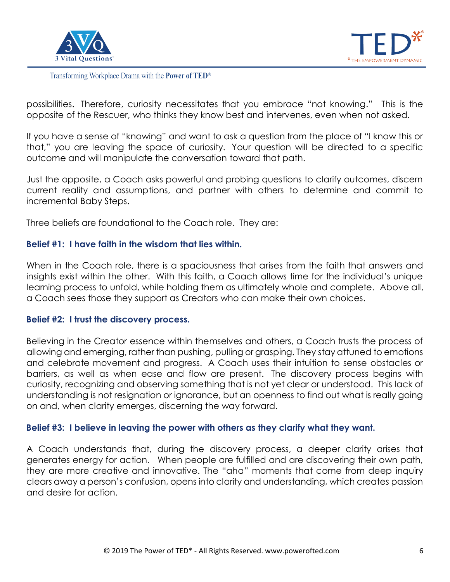



possibilities. Therefore, curiosity necessitates that you embrace "not knowing." This is the opposite of the Rescuer, who thinks they know best and intervenes, even when not asked.

If you have a sense of "knowing" and want to ask a question from the place of "I know this or that," you are leaving the space of curiosity. Your question will be directed to a specific outcome and will manipulate the conversation toward that path.

Just the opposite, a Coach asks powerful and probing questions to clarify outcomes, discern current reality and assumptions, and partner with others to determine and commit to incremental Baby Steps.

Three beliefs are foundational to the Coach role. They are:

## **Belief #1: I have faith in the wisdom that lies within.**

When in the Coach role, there is a spaciousness that arises from the faith that answers and insights exist within the other. With this faith, a Coach allows time for the individual's unique learning process to unfold, while holding them as ultimately whole and complete. Above all, a Coach sees those they support as Creators who can make their own choices.

## **Belief #2: I trust the discovery process.**

Believing in the Creator essence within themselves and others, a Coach trusts the process of allowing and emerging, rather than pushing, pulling or grasping. They stay attuned to emotions and celebrate movement and progress. A Coach uses their intuition to sense obstacles or barriers, as well as when ease and flow are present. The discovery process begins with curiosity, recognizing and observing something that is not yet clear or understood. This lack of understanding is not resignation or ignorance, but an openness to find out what is really going on and, when clarity emerges, discerning the way forward.

## **Belief #3: I believe in leaving the power with others as they clarify what they want.**

A Coach understands that, during the discovery process, a deeper clarity arises that generates energy for action. When people are fulfilled and are discovering their own path, they are more creative and innovative. The "aha" moments that come from deep inquiry clears away a person's confusion, opens into clarity and understanding, which creates passion and desire for action.